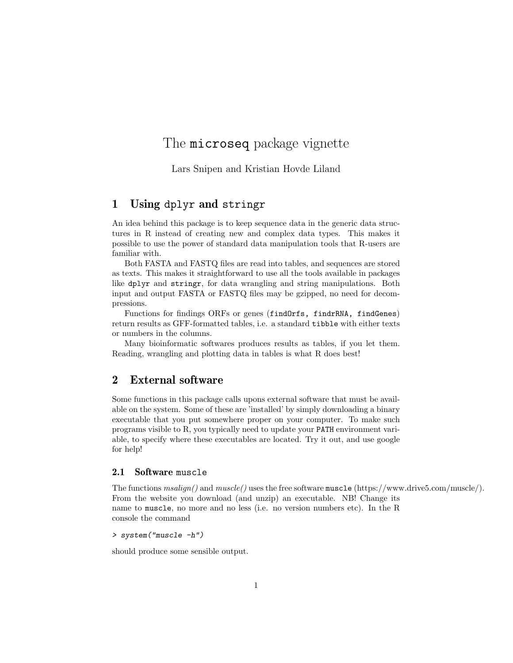# The **microseq** package vignette

Lars Snipen and Kristian Hovde Liland

# 1 Using dplyr and stringr

An idea behind this package is to keep sequence data in the generic data structures in R instead of creating new and complex data types. This makes it possible to use the power of standard data manipulation tools that R-users are familiar with.

Both FASTA and FASTQ files are read into tables, and sequences are stored as texts. This makes it straightforward to use all the tools available in packages like dplyr and stringr, for data wrangling and string manipulations. Both input and output FASTA or FASTQ files may be gzipped, no need for decompressions.

Functions for findings ORFs or genes (findOrfs, findrRNA, findGenes) return results as GFF-formatted tables, i.e. a standard tibble with either texts or numbers in the columns.

Many bioinformatic softwares produces results as tables, if you let them. Reading, wrangling and plotting data in tables is what R does best!

# 2 External software

Some functions in this package calls upons external software that must be available on the system. Some of these are 'installed' by simply downloading a binary executable that you put somewhere proper on your computer. To make such programs visible to R, you typically need to update your PATH environment variable, to specify where these executables are located. Try it out, and use google for help!

#### 2.1 Software muscle

The functions msalign() and muscle() uses the free software muscle (https://www.drive5.com/muscle/). From the website you download (and unzip) an executable. NB! Change its name to muscle, no more and no less (i.e. no version numbers etc). In the R console the command

```
> system("muscle -h")
```
should produce some sensible output.